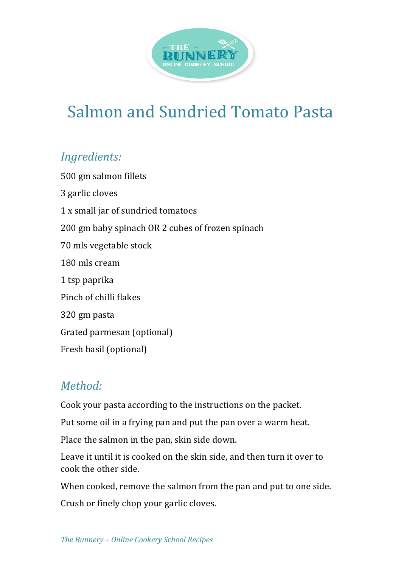

## Salmon and Sundried Tomato Pasta

## *Ingredients:*

500 gm salmon fillets 3 garlic cloves 1 x small jar of sundried tomatoes 200 gm baby spinach OR 2 cubes of frozen spinach 70 mls vegetable stock 180 mls cream 1 tsp paprika Pinch of chilli flakes 320 gm pasta Grated parmesan (optional) Fresh basil (optional)

## *Method:*

Cook your pasta according to the instructions on the packet.

Put some oil in a frying pan and put the pan over a warm heat.

Place the salmon in the pan, skin side down.

Leave it until it is cooked on the skin side, and then turn it over to cook the other side.

When cooked, remove the salmon from the pan and put to one side.

Crush or finely chop your garlic cloves.